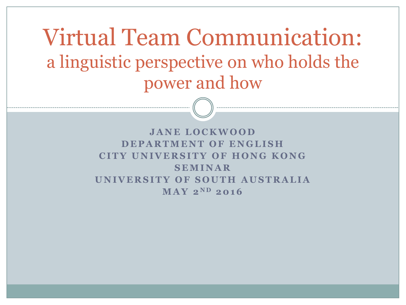Virtual Team Communication: a linguistic perspective on who holds the power and how

> **J A N E L O C K W O O D DEPARTMENT OF ENGLISH CITY UNIVERSITY OF HONG KONG S E M I N A R UNIVERSITY OF SOUTH AUSTRALIA**  $M A V 2^{ND} 2016$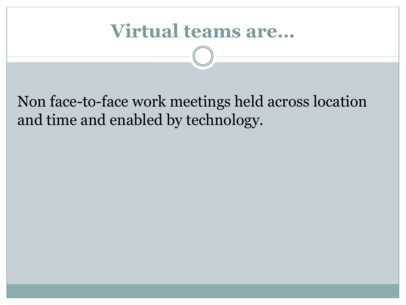# **Virtual teams are…**

#### Non face-to-face work meetings held across location and time and enabled by technology.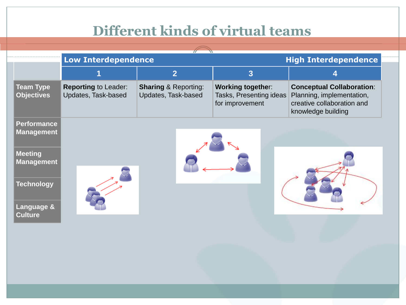#### **Different kinds of virtual teams**

|                                         | <b>Low Interdependence</b>                         |                                                        | ------<br><b>High Interdependence</b>                                  |                                                                                                                   |  |  |
|-----------------------------------------|----------------------------------------------------|--------------------------------------------------------|------------------------------------------------------------------------|-------------------------------------------------------------------------------------------------------------------|--|--|
|                                         |                                                    | 2                                                      | 3                                                                      |                                                                                                                   |  |  |
| <b>Team Type</b><br><b>Objectives</b>   | <b>Reporting to Leader:</b><br>Updates, Task-based | <b>Sharing &amp; Reporting:</b><br>Updates, Task-based | <b>Working together:</b><br>Tasks, Presenting ideas<br>for improvement | <b>Conceptual Collaboration:</b><br>Planning, implementation,<br>creative collaboration and<br>knowledge building |  |  |
| <b>Performance</b><br><b>Management</b> |                                                    |                                                        |                                                                        |                                                                                                                   |  |  |

**Meeting Management**

**Technology**

**Language & Culture**





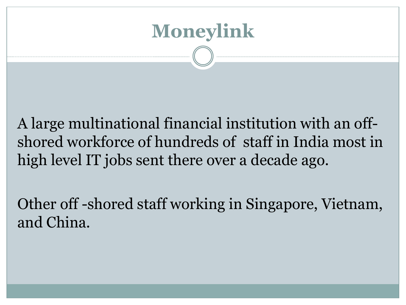

A large multinational financial institution with an offshored workforce of hundreds of staff in India most in high level IT jobs sent there over a decade ago.

Other off -shored staff working in Singapore, Vietnam, and China.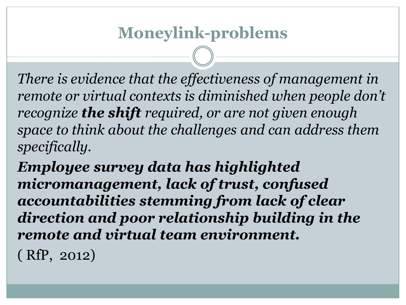*There is evidence that the effectiveness of management in remote or virtual contexts is diminished when people don't recognize the shift required, or are not given enough space to think about the challenges and can address them specifically.* 

*Employee survey data has highlighted micromanagement, lack of trust, confused accountabilities stemming from lack of clear direction and poor relationship building in the remote and virtual team environment.*

( RfP, 2012)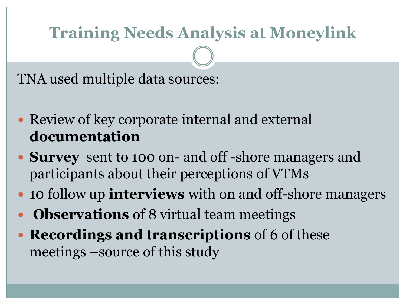# **Training Needs Analysis at Moneylink**

TNA used multiple data sources:

- Review of key corporate internal and external **documentation**
- **Survey** sent to 100 on- and off -shore managers and participants about their perceptions of VTMs
- 10 follow up **interviews** with on and off-shore managers
- **Observations** of 8 virtual team meetings
- **Recordings and transcriptions** of 6 of these meetings –source of this study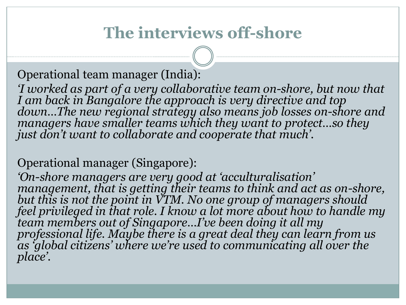# **The interviews off-shore**

Operational team manager (India):

*'I worked as part of a very collaborative team on-shore, but now that I am back in Bangalore the approach is very directive and top down…The new regional strategy also means job losses on-shore and managers have smaller teams which they want to protect…so they just don't want to collaborate and cooperate that much'.*

Operational manager (Singapore):

*'On-shore managers are very good at 'acculturalisation' management, that is getting their teams to think and act as on-shore, but this is not the point in VTM. No one group of managers should feel privileged in that role. I know a lot more about how to handle my team members out of Singapore…I've been doing it all my professional life. Maybe there is a great deal they can learn from us as 'global citizens' where we're used to communicating all over the place'.*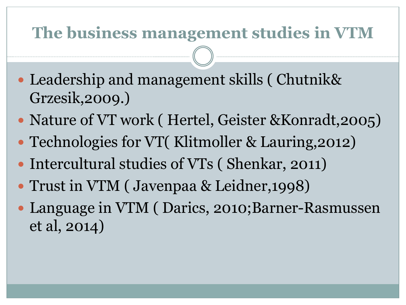### **The business management studies in VTM**

- Leadership and management skills ( Chutnik& Grzesik,2009.)
- Nature of VT work ( Hertel, Geister & Konradt, 2005)
- Technologies for VT( Klitmoller & Lauring, 2012)
- Intercultural studies of VTs (Shenkar, 2011)
- Trust in VTM ( Javenpaa & Leidner,1998)
- Language in VTM (Darics, 2010;Barner-Rasmussen et al, 2014)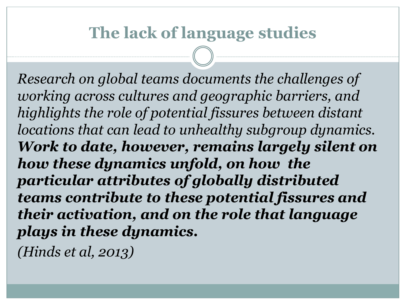### **The lack of language studies**

*Research on global teams documents the challenges of working across cultures and geographic barriers, and highlights the role of potential fissures between distant locations that can lead to unhealthy subgroup dynamics. Work to date, however, remains largely silent on how these dynamics unfold, on how the particular attributes of globally distributed teams contribute to these potential fissures and their activation, and on the role that language plays in these dynamics.* 

*(Hinds et al, 2013)*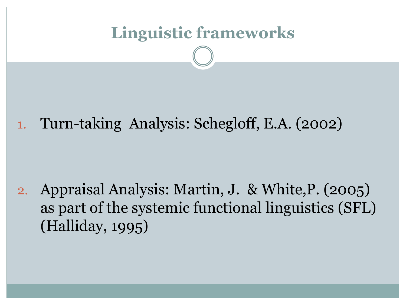

2. Appraisal Analysis: Martin, J. & White,P. (2005) as part of the systemic functional linguistics (SFL) (Halliday, 1995)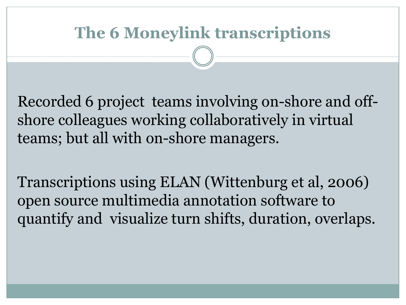### **The 6 Moneylink transcriptions**

Recorded 6 project teams involving on-shore and offshore colleagues working collaboratively in virtual teams; but all with on-shore managers.

Transcriptions using ELAN (Wittenburg et al, 2006) open source multimedia annotation software to quantify and visualize turn shifts, duration, overlaps.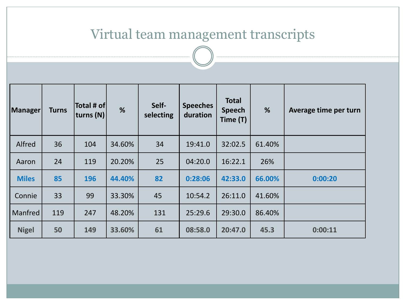#### Virtual team management transcripts

| Manager      | <b>Turns</b> | Total # of <br> turns (N) | %      | Self-<br>selecting | <b>Speeches</b><br>duration | <b>Total</b><br><b>Speech</b><br>Time (T) | %      | Average time per turn |
|--------------|--------------|---------------------------|--------|--------------------|-----------------------------|-------------------------------------------|--------|-----------------------|
| Alfred       | 36           | 104                       | 34.60% | 34                 | 19:41.0                     | 32:02.5                                   | 61.40% |                       |
| Aaron        | 24           | 119                       | 20.20% | 25                 | 04:20.0                     | 16:22.1                                   | 26%    |                       |
| <b>Miles</b> | 85           | 196                       | 44.40% | 82                 | 0:28:06                     | 42:33.0                                   | 66.00% | 0:00:20               |
| Connie       | 33           | 99                        | 33.30% | 45                 | 10:54.2                     | 26:11.0                                   | 41.60% |                       |
| Manfred      | 119          | 247                       | 48.20% | 131                | 25:29.6                     | 29:30.0                                   | 86.40% |                       |
| <b>Nigel</b> | 50           | 149                       | 33.60% | 61                 | 08:58.0                     | 20:47.0                                   | 45.3   | 0:00:11               |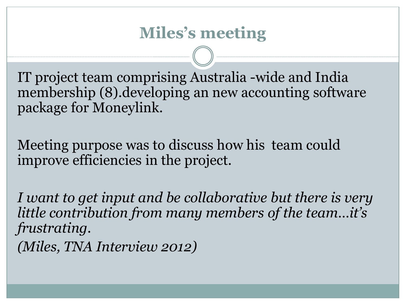### **Miles's meeting**

IT project team comprising Australia -wide and India membership (8).developing an new accounting software package for Moneylink.

Meeting purpose was to discuss how his team could improve efficiencies in the project.

*I want to get input and be collaborative but there is very little contribution from many members of the team…it's frustrating. (Miles, TNA Interview 2012)*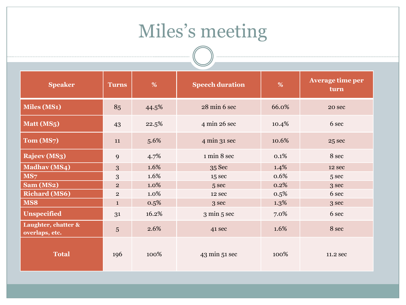# Miles's meeting

| <b>Speaker</b>                        | <b>Turns</b>   | %       | <b>Speech duration</b>          | %       | <b>Average time per</b><br>turn |
|---------------------------------------|----------------|---------|---------------------------------|---------|---------------------------------|
| <b>Miles (MS1)</b>                    | 85             | 44.5%   | 28 min 6 sec                    | 66.0%   | 20 sec                          |
| Matt (MS5)                            | 43             | 22.5%   | 4 min 26 sec                    | 10.4%   | 6 sec                           |
| Tom (MS7)                             | 11             | 5.6%    | $4 \text{ min } 31 \text{ sec}$ | 10.6%   | 25 sec                          |
| Rajeev (MS3)                          | 9              | 4.7%    | 1 min 8 sec                     | 0.1%    | 8 sec                           |
| <b>Madhav</b> (MS4)                   | 3              | 1.6%    | 35 Sec                          | 1.4%    | 12 sec                          |
| MS7                                   | 3              | 1.6%    | 15 sec                          | 0.6%    | 5 sec                           |
| Sam (MS2)                             | $\overline{2}$ | 1.0%    | 5 sec                           | 0.2%    | 3 sec                           |
| <b>Richard (MS6)</b>                  | $\overline{2}$ | 1.0%    | 12 sec                          | 0.5%    | 6 sec                           |
| MS8                                   | $\mathbf{1}$   | $0.5\%$ | 3 sec                           | $1.3\%$ | 3 sec                           |
| <b>Unspecified</b>                    | 31             | 16.2%   | $3 \text{ min } 5 \text{ sec}$  | 7.0%    | 6 sec                           |
| Laughter, chatter &<br>overlaps, etc. | 5              | 2.6%    | 41 sec                          | 1.6%    | 8 sec                           |
| <b>Total</b>                          | 196            | 100%    | 43 min 51 sec                   | 100%    | 11.2 sec                        |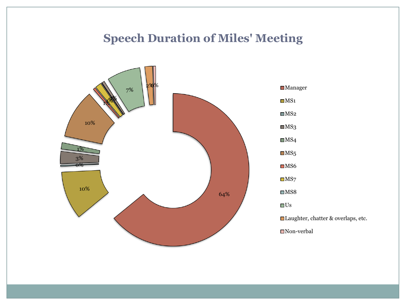#### **Speech Duration of Miles' Meeting**



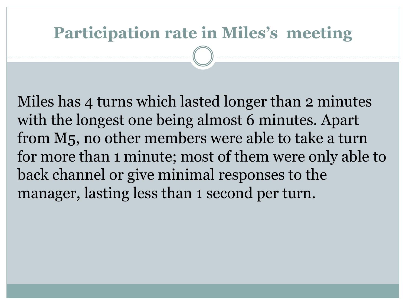# **Participation rate in Miles's meeting**

Miles has 4 turns which lasted longer than 2 minutes with the longest one being almost 6 minutes. Apart from M5, no other members were able to take a turn for more than 1 minute; most of them were only able to back channel or give minimal responses to the manager, lasting less than 1 second per turn.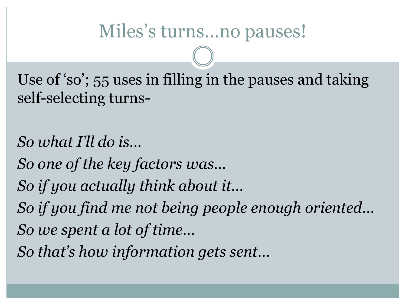# Miles's turns…no pauses!

Use of 'so'; 55 uses in filling in the pauses and taking self-selecting turns-

*So what I'll do is… So one of the key factors was… So if you actually think about it… So if you find me not being people enough oriented… So we spent a lot of time…*

*So that's how information gets sent…*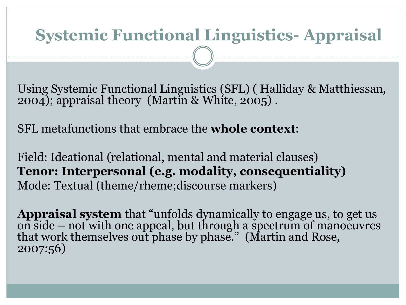# **Systemic Functional Linguistics- Appraisal**

Using Systemic Functional Linguistics (SFL) ( Halliday & Matthiessan, 2004); appraisal theory (Martin & White, 2005) .

SFL metafunctions that embrace the **whole context**:

Field: Ideational (relational, mental and material clauses) **Tenor: Interpersonal (e.g. modality, consequentiality)** Mode: Textual (theme/rheme;discourse markers)

**Appraisal system** that "unfolds dynamically to engage us, to get us on side – not with one appeal, but through a spectrum of manoeuvres that work themselves out phase by phase." (Martin and Rose, 2007:56)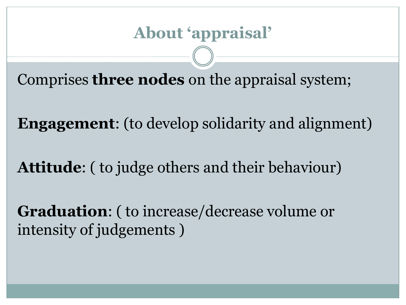Comprises **three nodes** on the appraisal system;

**Engagement**: (to develop solidarity and alignment)

**Attitude**: ( to judge others and their behaviour)

**Graduation**: ( to increase/decrease volume or intensity of judgements )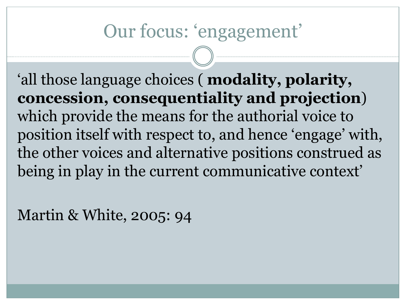# Our focus: 'engagement'

'all those language choices ( **modality, polarity, concession, consequentiality and projection**) which provide the means for the authorial voice to position itself with respect to, and hence 'engage' with, the other voices and alternative positions construed as being in play in the current communicative context'

Martin & White, 2005: 94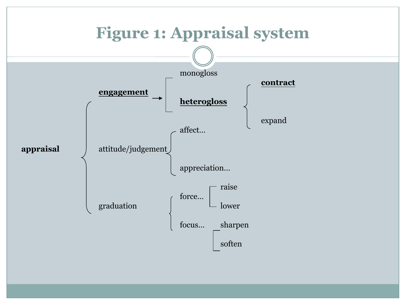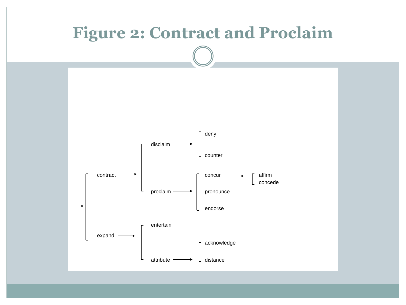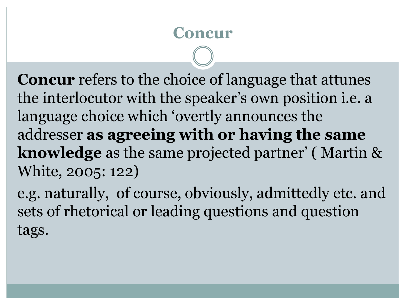#### **Concur**

**Concur** refers to the choice of language that attunes the interlocutor with the speaker's own position i.e. a language choice which 'overtly announces the addresser **as agreeing with or having the same knowledge** as the same projected partner' ( Martin & White, 2005: 122)

e.g. naturally, of course, obviously, admittedly etc. and sets of rhetorical or leading questions and question tags.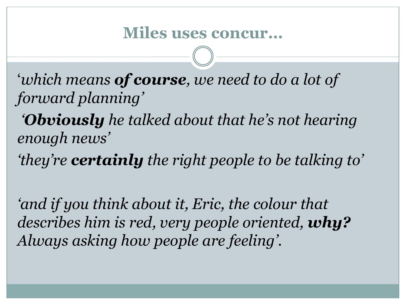'*which means of course, we need to do a lot of forward planning'*

*'Obviously he talked about that he's not hearing enough news'*

*'they're certainly the right people to be talking to'*

*'and if you think about it, Eric, the colour that describes him is red, very people oriented, why? Always asking how people are feeling'.*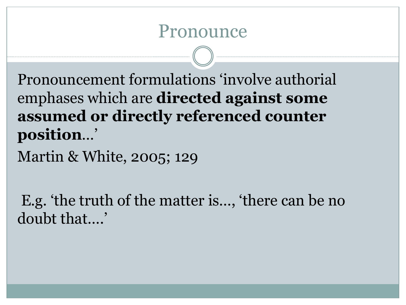## Pronounce

Pronouncement formulations 'involve authorial emphases which are **directed against some assumed or directly referenced counter position**…'

Martin & White, 2005; 129

E.g. 'the truth of the matter is…, 'there can be no doubt that….'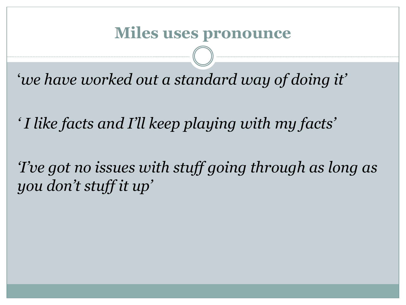#### **Miles uses pronounce**

'*we have worked out a standard way of doing it'*

*' I like facts and I'll keep playing with my facts'*

*'I've got no issues with stuff going through as long as you don't stuff it up'*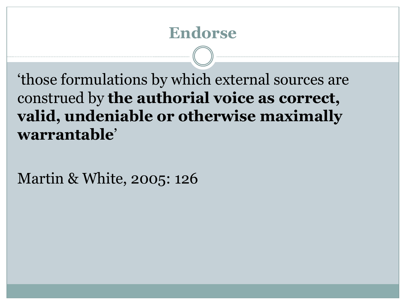### **Endorse**

'those formulations by which external sources are construed by **the authorial voice as correct, valid, undeniable or otherwise maximally warrantable**'

Martin & White, 2005: 126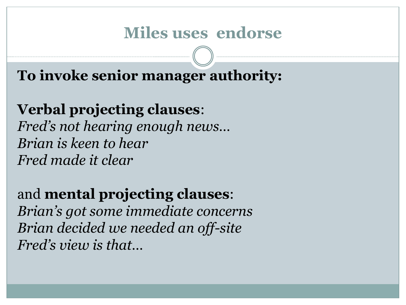#### **Miles uses endorse**

**To invoke senior manager authority:**

**Verbal projecting clauses**: *Fred's not hearing enough news… Brian is keen to hear Fred made it clear*

and **mental projecting clauses**: *Brian's got some immediate concerns Brian decided we needed an off-site Fred's view is that…*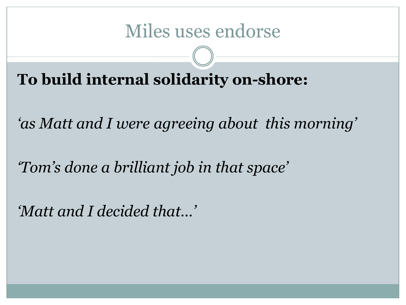# Miles uses endorse

**To build internal solidarity on-shore:**

*'as Matt and I were agreeing about this morning'*

*'Tom's done a brilliant job in that space'*

*'Matt and I decided that…'*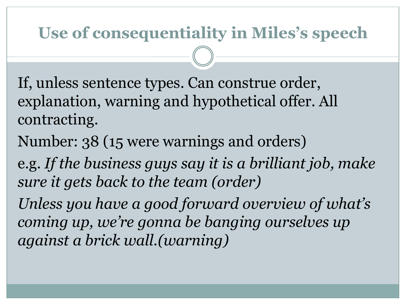# **Use of consequentiality in Miles's speech**

If, unless sentence types. Can construe order, explanation, warning and hypothetical offer. All contracting.

Number: 38 (15 were warnings and orders)

e.g. *If the business guys say it is a brilliant job, make sure it gets back to the team (order)*

*Unless you have a good forward overview of what's coming up, we're gonna be banging ourselves up against a brick wall.(warning)*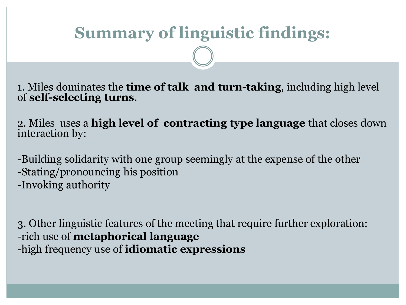# **Summary of linguistic findings:**

1. Miles dominates the **time of talk and turn-taking**, including high level of **self-selecting turns**.

2. Miles uses a **high level of contracting type language** that closes down interaction by:

-Building solidarity with one group seemingly at the expense of the other -Stating/pronouncing his position -Invoking authority

3. Other linguistic features of the meeting that require further exploration: -rich use of **metaphorical language**  -high frequency use of **idiomatic expressions**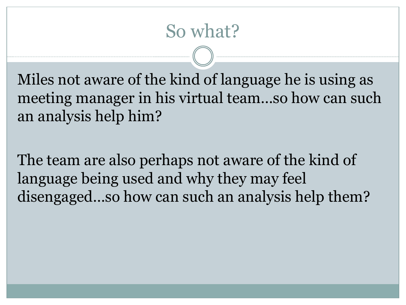# So what?

Miles not aware of the kind of language he is using as meeting manager in his virtual team…so how can such an analysis help him?

The team are also perhaps not aware of the kind of language being used and why they may feel disengaged…so how can such an analysis help them?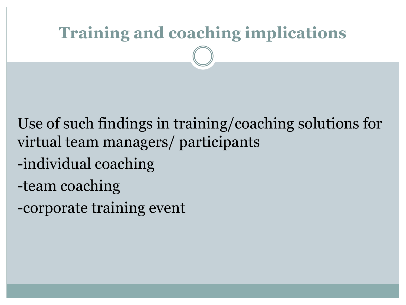# **Training and coaching implications**

Use of such findings in training/coaching solutions for virtual team managers/ participants

- -individual coaching
- -team coaching
- -corporate training event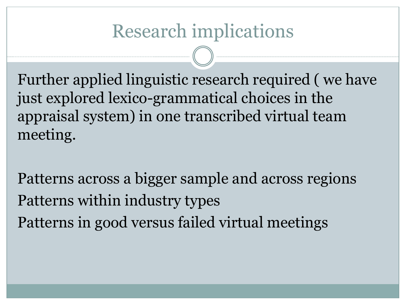# Research implications

Further applied linguistic research required ( we have just explored lexico-grammatical choices in the appraisal system) in one transcribed virtual team meeting.

Patterns across a bigger sample and across regions Patterns within industry types Patterns in good versus failed virtual meetings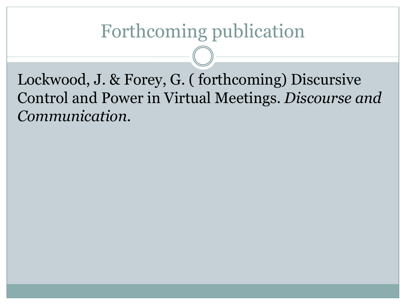# Forthcoming publication

Lockwood, J. & Forey, G. ( forthcoming) Discursive Control and Power in Virtual Meetings. *Discourse and Communication.*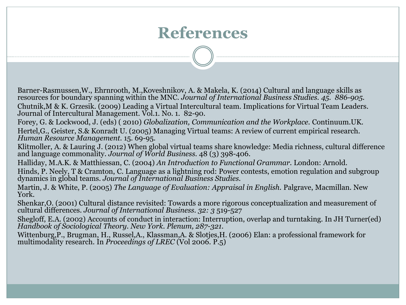### **References**

Barner-Rasmussen,W., Ehrnrooth, M.,Koveshnikov, A. & Makela, K. (2014) Cultural and language skills as resources for boundary spanning within the MNC. *Journal of International Business Studies. 45. 886-905.* Chutnik,M & K. Grzesik. (2009) Leading a Virtual Intercultural team. Implications for Virtual Team Leaders. Journal of Intercultural Management. Vol.1. No. 1. 82-90.

Forey, G. & Lockwood, J. (eds) ( 2010) *Globalization, Communication and the Workplace.* Continuum.UK. Hertel,G., Geister, S.& Konradt U. (2005) Managing Virtual teams: A review of current empirical research. *Human Resource Management.* 15. 69-95.

Klitmoller, A. & Lauring J. (2012) When global virtual teams share knowledge: Media richness, cultural difference and language commonality. *Journal of World Business.* 48 (3) 398-406.

Halliday, M.A.K. & Matthiessan, C. (2004) *An Introduction to Functional Grammar.* London: Arnold.

Hinds, P. Neely, T & Cramton, C. Language as a lightning rod: Power contests, emotion regulation and subgroup dynamics in global teams. *Journal of International Business Studies.* 

Martin, J. & White, P. (2005) *The Language of Evaluation: Appraisal in English.* Palgrave, Macmillan. New York.

Shenkar,O. (2001) Cultural distance revisited: Towards a more rigorous conceptualization and measurement of cultural differences. *Journal of International Business. 32: 3* 519-527

Shegloff, E.A. (2002) Accounts of conduct in interaction: Interruption, overlap and turntaking. In JH Turner(ed) *Handbook of Sociological Theory. New York. Plenum, 287-321.*

Wittenburg,P., Brugman, H., Russel,A., Klassman,A. & Slotjes,H. (2006) Elan: a professional framework for multimodality research. In *Proceedings of LREC* (Vol 2006. P.5)